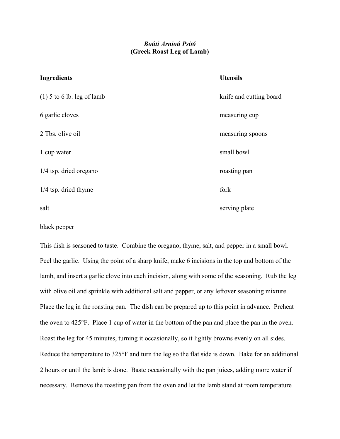## Boúti Arnioú Psitó (Greek Roast Leg of Lamb)

## Ingredients Utensils (1) 5 to 6 lb. leg of lamb knife and cutting board 6 garlic cloves measuring cup 2 Tbs. olive oil measuring spoons 1 cup water small bowl 1/4 tsp. dried oregano roasting pan  $1/4$  tsp. dried thyme for  $\frac{1}{4}$  tsp. dried thyme salt serving plate

## black pepper

This dish is seasoned to taste. Combine the oregano, thyme, salt, and pepper in a small bowl. Peel the garlic. Using the point of a sharp knife, make 6 incisions in the top and bottom of the lamb, and insert a garlic clove into each incision, along with some of the seasoning. Rub the leg with olive oil and sprinkle with additional salt and pepper, or any leftover seasoning mixture. Place the leg in the roasting pan. The dish can be prepared up to this point in advance. Preheat the oven to  $425^{\circ}$ F. Place 1 cup of water in the bottom of the pan and place the pan in the oven. Roast the leg for 45 minutes, turning it occasionally, so it lightly browns evenly on all sides. Reduce the temperature to  $325^{\circ}$ F and turn the leg so the flat side is down. Bake for an additional 2 hours or until the lamb is done. Baste occasionally with the pan juices, adding more water if necessary. Remove the roasting pan from the oven and let the lamb stand at room temperature